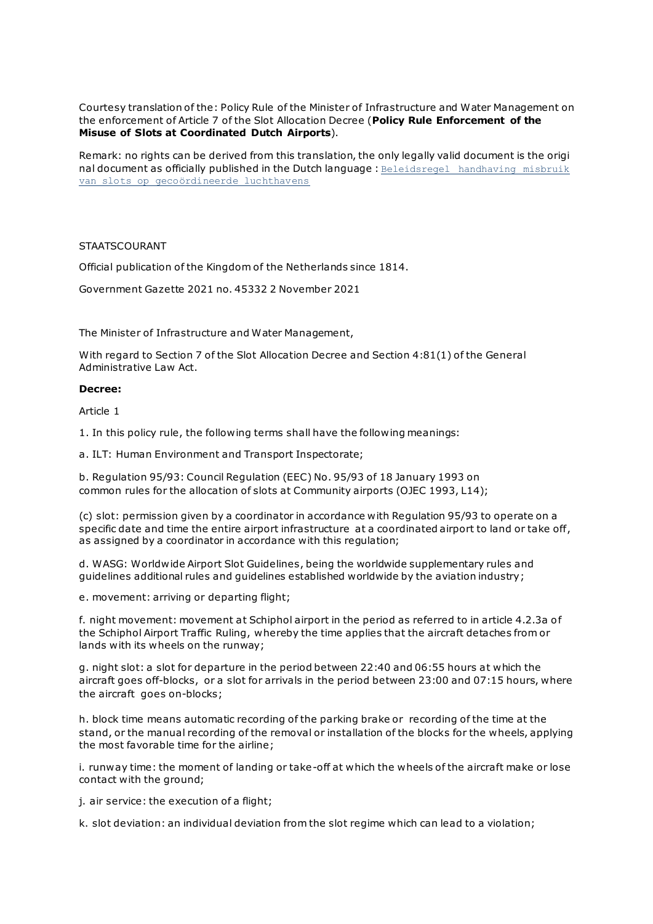Courtesy translation of the: Policy Rule of the Minister of Infrastructure and Water Management on the enforcement of Article 7 of the Slot Allocation Decree (**Policy Rule Enforcement of the Misuse of Slots at Coordinated Dutch Airports**).

Remark: no rights can be derived from this translation, the only legally valid document is the origi nal document as officially published in the Dutch language : Beleidsregel handhaving misbruik [van slots op gecoördineerde luchthavens](https://wetten.overheid.nl/jci1.3:c:BWBR0045764&z=2021-11-03&g=2021-11-03)

### STAATSCOURANT

Official publication of the Kingdom of the Netherlands since 1814.

Government Gazette 2021 no. 45332 2 November 2021

The Minister of Infrastructure and Water Management,

With regard to Section 7 of the Slot Allocation Decree and Section 4:81(1) of the General Administrative Law Act.

#### **Decree:**

Article 1

1. In this policy rule, the following terms shall have the following meanings:

a. ILT: Human Environment and Transport Inspectorate;

b. Regulation 95/93: Council Regulation (EEC) No. 95/93 of 18 January 1993 on common rules for the allocation of slots at Community airports (OJEC 1993, L14);

(c) slot: permission given by a coordinator in accordance with Regulation 95/93 to operate on a specific date and time the entire airport infrastructure at a coordinated airport to land or take off, as assigned by a coordinator in accordance with this regulation;

d. WASG: Worldwide Airport Slot Guidelines, being the worldwide supplementary rules and guidelines additional rules and guidelines established worldwide by the aviation industry;

e. movement: arriving or departing flight;

f. night movement: movement at Schiphol airport in the period as referred to in article 4.2.3a of the Schiphol Airport Traffic Ruling, whereby the time applies that the aircraft detaches from or lands with its wheels on the runway;

g. night slot: a slot for departure in the period between 22:40 and 06:55 hours at which the aircraft goes off-blocks, or a slot for arrivals in the period between 23:00 and 07:15 hours, where the aircraft goes on-blocks;

h. block time means automatic recording of the parking brake or recording of the time at the stand, or the manual recording of the removal or installation of the blocks for the wheels, applying the most favorable time for the airline;

i. runway time: the moment of landing or take-off at which the wheels of the aircraft make or lose contact with the ground;

j. air service: the execution of a flight;

k. slot deviation: an individual deviation from the slot regime which can lead to a violation;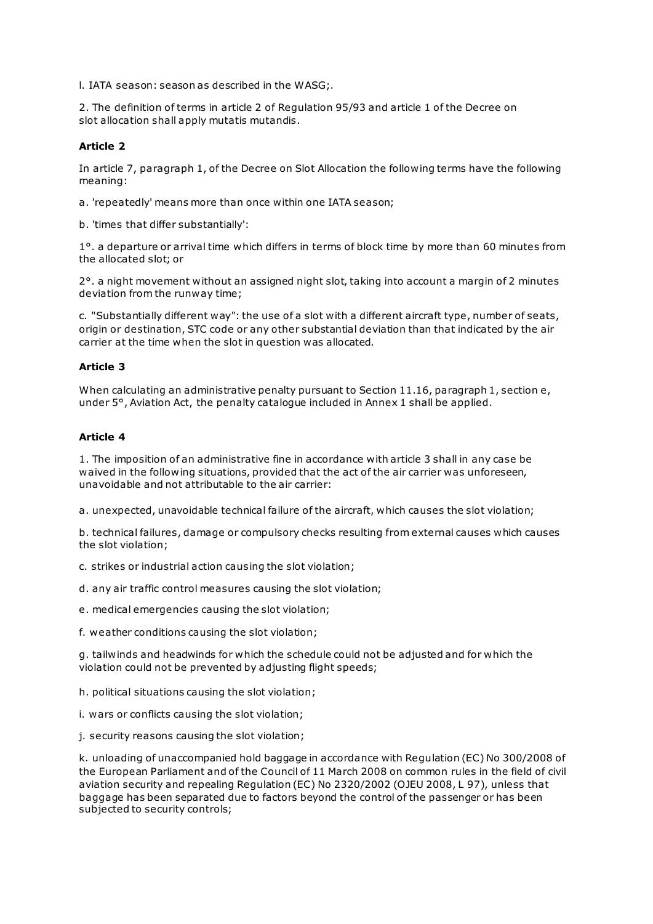l. IATA season: season as described in the WASG;.

2. The definition of terms in article 2 of Regulation 95/93 and article 1 of the Decree on slot allocation shall apply mutatis mutandis.

### **Article 2**

In article 7, paragraph 1, of the Decree on Slot Allocation the following terms have the following meaning:

a. 'repeatedly' means more than once within one IATA season;

b. 'times that differ substantially':

1°. a departure or arrival time which differs in terms of block time by more than 60 minutes from the allocated slot; or

2°. a night movement without an assigned night slot, taking into account a margin of 2 minutes deviation from the runway time;

c. "Substantially different way": the use of a slot with a different aircraft type, number of seats, origin or destination, STC code or any other substantial deviation than that indicated by the air carrier at the time when the slot in question was allocated.

### **Article 3**

When calculating an administrative penalty pursuant to Section 11.16, paragraph 1, section e, under 5°, Aviation Act, the penalty catalogue included in Annex 1 shall be applied.

### **Article 4**

1. The imposition of an administrative fine in accordance with article 3 shall in any case be waived in the following situations, provided that the act of the air carrier was unforeseen, unavoidable and not attributable to the air carrier:

a. unexpected, unavoidable technical failure of the aircraft, which causes the slot violation;

b. technical failures, damage or compulsory checks resulting from external causes which causes the slot violation;

c. strikes or industrial action causing the slot violation;

d. any air traffic control measures causing the slot violation;

e. medical emergencies causing the slot violation;

f. weather conditions causing the slot violation;

g. tailwinds and headwinds for which the schedule could not be adjusted and for which the violation could not be prevented by adjusting flight speeds;

h. political situations causing the slot violation;

i. wars or conflicts causing the slot violation;

j. security reasons causing the slot violation;

k. unloading of unaccompanied hold baggage in accordance with Regulation (EC) No 300/2008 of the European Parliament and of the Council of 11 March 2008 on common rules in the field of civil aviation security and repealing Regulation (EC) No 2320/2002 (OJEU 2008, L 97), unless that baggage has been separated due to factors beyond the control of the passenger or has been subjected to security controls;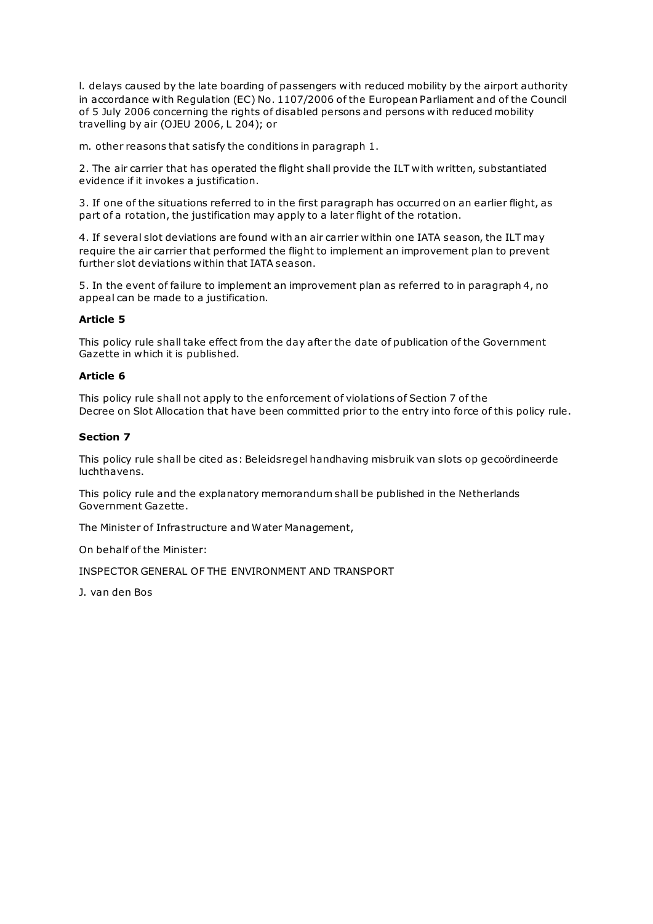l. delays caused by the late boarding of passengers with reduced mobility by the airport authority in accordance with Regulation (EC) No. 1107/2006 of the European Parliament and of the Council of 5 July 2006 concerning the rights of disabled persons and persons with reduced mobility travelling by air (OJEU 2006, L 204); or

m. other reasons that satisfy the conditions in paragraph 1.

2. The air carrier that has operated the flight shall provide the ILT with written, substantiated evidence if it invokes a justification.

3. If one of the situations referred to in the first paragraph has occurred on an earlier flight, as part of a rotation, the justification may apply to a later flight of the rotation.

4. If several slot deviations are found with an air carrier within one IATA season, the ILT may require the air carrier that performed the flight to implement an improvement plan to prevent further slot deviations within that IATA season.

5. In the event of failure to implement an improvement plan as referred to in paragraph 4, no appeal can be made to a justification.

### **Article 5**

This policy rule shall take effect from the day after the date of publication of the Government Gazette in which it is published.

### **Article 6**

This policy rule shall not apply to the enforcement of violations of Section 7 of the Decree on Slot Allocation that have been committed prior to the entry into force of this policy rule.

### **Section 7**

This policy rule shall be cited as: Beleidsregel handhaving misbruik van slots op gecoördineerde luchthavens.

This policy rule and the explanatory memorandum shall be published in the Netherlands Government Gazette.

The Minister of Infrastructure and Water Management,

On behalf of the Minister:

INSPECTOR GENERAL OF THE ENVIRONMENT AND TRANSPORT

J. van den Bos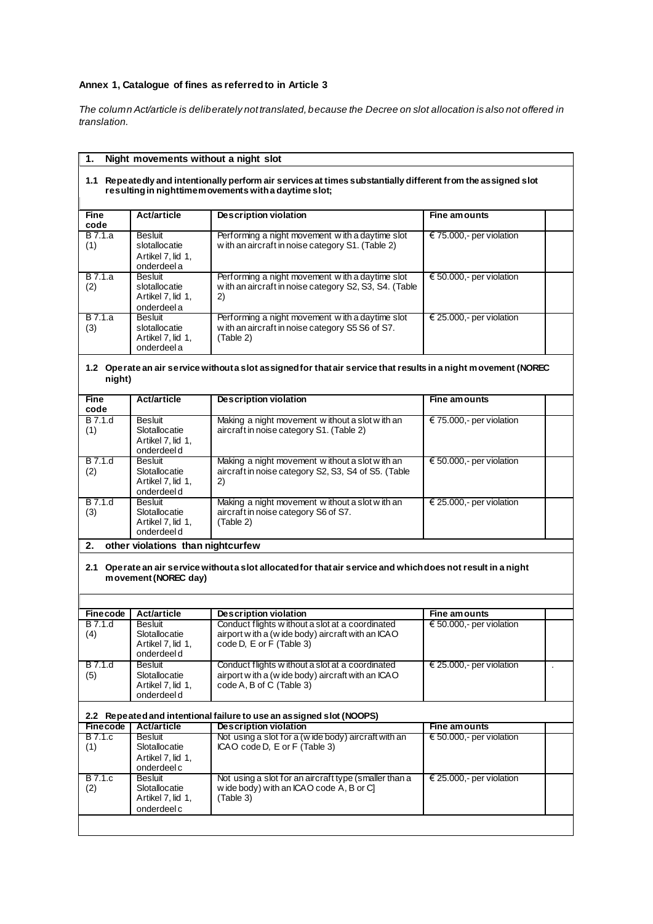## **Annex 1, Catalogue of fines as referred to in Article 3**

*The column Act/article is deliberately not translated, because the Decree on slot allocation is also not offered in translation.*

| Night movements without a night slot<br>1.                                                                                                                             |                                                                           |                                                                                                                                    |                                     |  |
|------------------------------------------------------------------------------------------------------------------------------------------------------------------------|---------------------------------------------------------------------------|------------------------------------------------------------------------------------------------------------------------------------|-------------------------------------|--|
| 1.1 Repeatedly and intentionally perform air services at times substantially different from the assigned slot<br>resulting in nighttimem ovements with a daytime slot; |                                                                           |                                                                                                                                    |                                     |  |
| <b>Fine</b><br>code                                                                                                                                                    | <b>Act/article</b>                                                        | <b>Description violation</b>                                                                                                       | Fine amounts                        |  |
| B 7.1.a<br>(1)                                                                                                                                                         | <b>Besluit</b><br>slotallocatie<br>Artikel 7, lid 1,<br>onderdeel a       | Performing a night movement with a daytime slot<br>with an aircraft in noise category S1. (Table 2)                                | € 75.000,- per violation            |  |
| <b>B</b> 7.1.a<br>(2)                                                                                                                                                  | <b>Besluit</b><br>slotallocatie<br>Artikel 7, lid 1,<br>onderdeel a       | Performing a night movement with a daytime slot<br>w ith an aircraft in noise category S2, S3, S4. (Table<br>2)                    | € 50.000,- per violation            |  |
| B 7.1.a<br>(3)                                                                                                                                                         | <b>Besluit</b><br>slotallocatie<br>Artikel 7, lid 1,<br>onderdeel a       | Performing a night movement with a daytime slot<br>with an aircraft in noise category S5 S6 of S7.<br>(Table 2)                    | € 25.000,- per violation            |  |
| night)                                                                                                                                                                 |                                                                           | 1.2 Operate an air service without a slot assigned for that air service that results in a night movement (NOREC                    |                                     |  |
| Fine<br>code                                                                                                                                                           | <b>Act/article</b>                                                        | <b>Description violation</b>                                                                                                       | Fine amounts                        |  |
| <b>B</b> 7.1.d<br>(1)                                                                                                                                                  | <b>Besluit</b><br>Slotallocatie<br>Artikel 7, lid 1,<br>onderdeel d       | Making a night movement without a slot with an<br>aircraft in noise category S1. (Table 2)                                         | € 75.000,- per violation            |  |
| <b>B</b> 7.1.d<br>(2)                                                                                                                                                  | <b>Besluit</b><br>Slotallocatie<br>Artikel 7, lid 1,<br>onderdeel d       | Making a night movement without a slot with an<br>aircraft in noise category S2, S3, S4 of S5. (Table<br>2)                        | € 50.000,- per violation            |  |
| B 7.1.d<br>(3)                                                                                                                                                         | <b>Besluit</b><br>Slotallocatie<br>Artikel 7, lid 1,<br>onderdeel d       | Making a night movement without a slot with an<br>aircraft in noise category S6 of S7.<br>(Table 2)                                | € 25.000,- per violation            |  |
| 2.                                                                                                                                                                     | other violations than nightcurfew                                         |                                                                                                                                    |                                     |  |
|                                                                                                                                                                        | movement (NOREC day)                                                      | 2.1 Operate an air service without a slot allocated for that air service and which does not result in a night                      |                                     |  |
| <b>Finecode</b>                                                                                                                                                        | <b>Act/article</b>                                                        | <b>Description violation</b>                                                                                                       | Fine amounts                        |  |
| B 7.1.d<br>(4)                                                                                                                                                         | <b>Besluit</b><br>Slotallocatie<br>Artikel $\ell$ , lid 1,<br>onderdeel d | Conduct flights w ithout a slot at a coordinated<br>airport w ith a (w ide body) aircraft with an ICAO                             | € 50.000,- per violation            |  |
| B 7.1.d<br>(5)                                                                                                                                                         | <b>Besluit</b><br>Slotallocatie<br>Artikel 7, lid 1,<br>onderdeel d       | Conduct flights w ithout a slot at a coordinated<br>airport w ith a (w ide body) aircraft with an ICAO<br>code A, B of C (Table 3) | € 25.000,- per violation<br>$\cdot$ |  |
|                                                                                                                                                                        |                                                                           | 2.2 Repeated and intentional failure to use an assigned slot (NOOPS)                                                               |                                     |  |
| <b>Finecode</b>                                                                                                                                                        | <b>Act/article</b>                                                        | <b>Description violation</b>                                                                                                       | <b>Fine amounts</b>                 |  |
| B 7.1.c<br>(1)                                                                                                                                                         | Besluit<br>Slotallocatie<br>Artikel 7, lid 1,<br>onderdeel c              | Not using a slot for a (wide body) aircraft with an<br>ICAO code D, E or F (Table 3)                                               | € 50.000,- per violation            |  |
| <b>B</b> 7.1.c<br>(2)                                                                                                                                                  | <b>Besluit</b><br>Slotallocatie<br>Artikel 7, lid 1,<br>onderdeel c       | Not using a slot for an aircraft type (smaller than a<br>wide body) with an ICAO code A, B or C]<br>(Table 3)                      | € 25.000,- per violation            |  |
|                                                                                                                                                                        |                                                                           |                                                                                                                                    |                                     |  |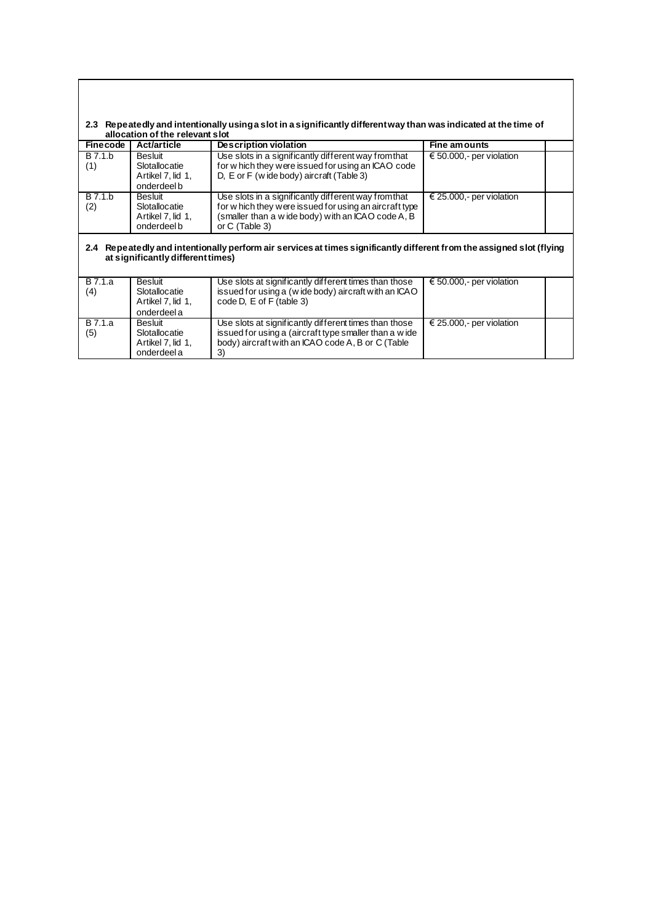| 2.3 Repeatedly and intentionally using a slot in a significantly different way than was indicated at the time of |
|------------------------------------------------------------------------------------------------------------------|
| allocation of the relevant slot                                                                                  |

| Finecode              | <b>Act/article</b>                                                  | Description violation                                                                                                                                                                    | Fine amounts             |
|-----------------------|---------------------------------------------------------------------|------------------------------------------------------------------------------------------------------------------------------------------------------------------------------------------|--------------------------|
| B 7.1.b<br>(1)        | Besluit<br>Slotallocatie<br>Artikel 7, lid 1,<br>onderdeel b        | Use slots in a significantly different way from that<br>for which they were issued for using an ICAO code<br>D, E or F (wide body) aircraft (Table 3)                                    | € 50.000,- per violation |
| <b>B</b> 7.1.b<br>(2) | <b>Besluit</b><br>Slotallocatie<br>Artikel 7, lid 1,<br>onderdeel b | Use slots in a significantly different way from that<br>for w hich they were issued for using an aircraft type<br>(smaller than a w ide body) with an ICAO code A, B<br>or $C$ (Table 3) | € 25.000,- per violation |
| 2.4                   | at significantly different times)                                   | Repeatedly and intentionally perform air services at times significantly different from the assigned slot (flying                                                                        |                          |

| B 7.1.a<br>(4) | Besluit<br>Slotallocatie<br>Artikel 7, lid 1,<br>onderdeel a | Use slots at significantly different times than those<br>issued for using a (wide body) aircraft with an ICAO<br>code D, E of F (table 3)                                 | € 50.000,- per violation |  |
|----------------|--------------------------------------------------------------|---------------------------------------------------------------------------------------------------------------------------------------------------------------------------|--------------------------|--|
| B 7.1.a<br>(5) | Besluit<br>Slotallocatie<br>Artikel 7. lid 1.<br>onderdeel a | Use slots at significantly different times than those<br>issued for using a (aircraft type smaller than a wide<br>body) aircraft with an ICAO code A, B or C (Table<br>3) | € 25.000,- per violation |  |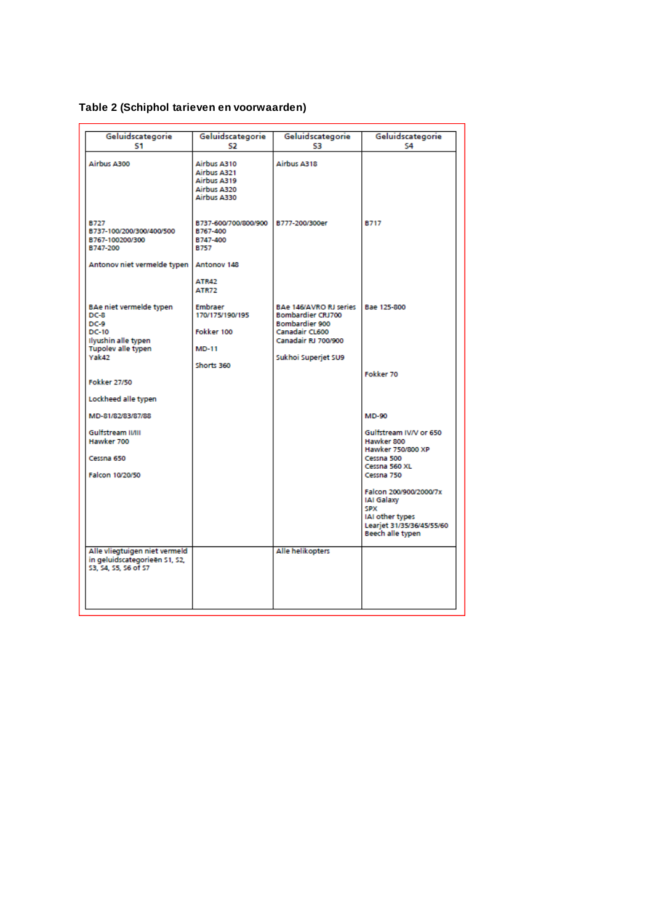# **Table 2 (Schiphol tarieven en voorwaarden)**

| Geluidscategorie                                                                                                | Geluidscategorie                                                               | Geluidscategorie                                                                                                                            | Geluidscategorie                                                                                                       |
|-----------------------------------------------------------------------------------------------------------------|--------------------------------------------------------------------------------|---------------------------------------------------------------------------------------------------------------------------------------------|------------------------------------------------------------------------------------------------------------------------|
| S1                                                                                                              | S2                                                                             | S3                                                                                                                                          | S4                                                                                                                     |
| Airbus A300                                                                                                     | Airbus A310<br><b>Airbus A321</b><br>Airbus A319<br>Airbus A320<br>Airbus A330 | Airbus A318                                                                                                                                 |                                                                                                                        |
| <b>B727</b><br>B737-100/200/300/400/500<br>B767-100200/300<br>B747-200<br>Antonov niet vermelde typen           | B737-600/700/800/900<br>B767-400<br>B747-400<br><b>B757</b><br>Antonov 148     | B777-200/300er                                                                                                                              | <b>B717</b>                                                                                                            |
|                                                                                                                 | <b>ATR42</b><br>ATR72                                                          |                                                                                                                                             |                                                                                                                        |
| BAe niet vermelde typen<br>$DC-8$<br>DC-9<br>DC-10<br>Ilyushin alle typen<br><b>Tupolev alle typen</b><br>Yak42 | <b>Embraer</b><br>170/175/190/195<br>Fokker 100<br><b>MD-11</b><br>Shorts 360  | BAe 146/AVRO RJ series<br><b>Bombardier CRJ700</b><br><b>Bombardier 900</b><br>Canadair CL600<br>Canadair RJ 700/900<br>Sukhoi Superjet SU9 | Bae 125-800                                                                                                            |
| <b>Fokker 27/50</b>                                                                                             |                                                                                |                                                                                                                                             | Fokker 70                                                                                                              |
| Lockheed alle typen                                                                                             |                                                                                |                                                                                                                                             |                                                                                                                        |
| MD-81/82/83/87/88                                                                                               |                                                                                |                                                                                                                                             | <b>MD-90</b>                                                                                                           |
| Gulfstream II/III<br>Hawker 700                                                                                 |                                                                                |                                                                                                                                             | Gulfstream IV/V or 650<br>Hawker 800<br>Hawker 750/800 XP                                                              |
| Cessna 650                                                                                                      |                                                                                |                                                                                                                                             | Cessna 500<br>Cessna 560 XL                                                                                            |
| Falcon 10/20/50                                                                                                 |                                                                                |                                                                                                                                             | Cessna 750                                                                                                             |
|                                                                                                                 |                                                                                |                                                                                                                                             | Falcon 200/900/2000/7x<br><b>IAI Galaxy</b><br>SPX<br>IAI other types<br>Learjet 31/35/36/45/55/60<br>Beech alle typen |
| Alle vliegtuigen niet vermeld<br>in geluidscategorieën S1, S2,<br>53, 54, 55, 56 of 57                          |                                                                                | Alle helikopters                                                                                                                            |                                                                                                                        |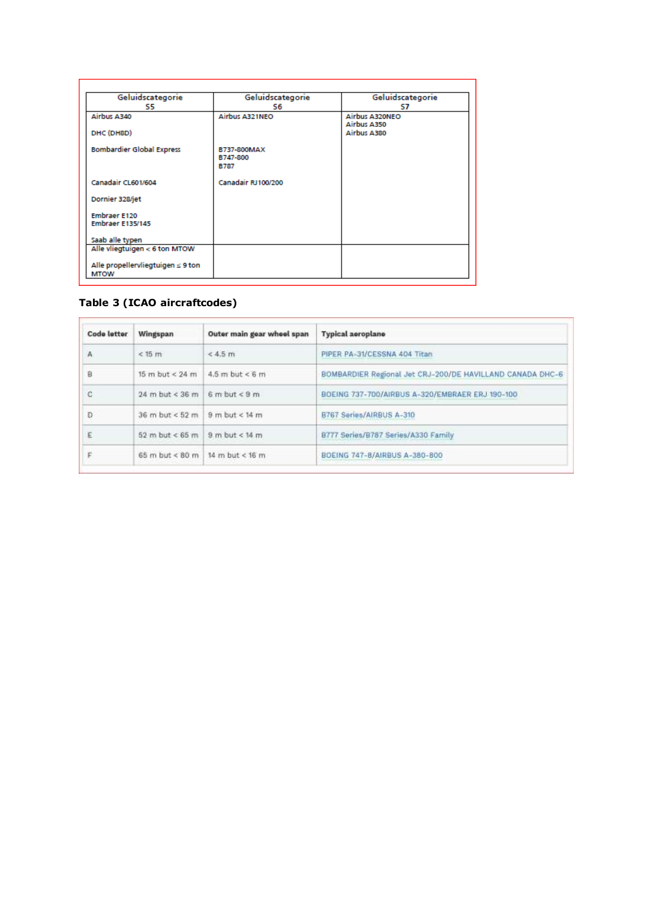| Geluidscategorie<br>S5                                | Geluidscategorie<br>S6 | Geluidscategorie<br>S7 |
|-------------------------------------------------------|------------------------|------------------------|
| Airbus A340                                           | Airbus A321NEO         | Airbus A320NEO         |
|                                                       |                        | Airbus A350            |
| DHC (DH8D)                                            |                        | Airbus A380            |
| <b>Bombardier Global Express</b>                      | B737-800MAX            |                        |
|                                                       | B747-800               |                        |
|                                                       | <b>B787</b>            |                        |
| Canadair CL601/604                                    | Canadair RJ100/200     |                        |
| Dornier 328/jet                                       |                        |                        |
| <b>Embraer E120</b>                                   |                        |                        |
| <b>Embraer E135/145</b>                               |                        |                        |
| Saab alle typen                                       |                        |                        |
| Alle vliegtuigen < 6 ton MTOW                         |                        |                        |
|                                                       |                        |                        |
| Alle propellervliegtuigen $\leq 9$ ton<br><b>MTOW</b> |                        |                        |

# **Table 3 (ICAO aircraftcodes)**

| <b>Code letter</b> | Wingspan                          | Outer main gear wheel span | <b>Typical aeroplane</b>                                  |
|--------------------|-----------------------------------|----------------------------|-----------------------------------------------------------|
| А                  | $<$ 15 $m$                        | $< 4.5$ m                  | PIPER PA-31/CESSNA 404 Titan.                             |
| R                  | $15 m$ but < $24 m$               | $4.5$ m but < 6 m          | BOMBARDIER Regional Jet CRJ-200/DE HAVILLAND CANADA DHC-6 |
| е                  | $24$ m but < $36$ m               | $6 m but \leq 9 m$         | BOEING 737-700/AIRBUS A-320/EMBRAER ERJ 190-100           |
| Ð                  | $36$ m but < $52$ m               | 9 m but < 14 m             | B767 Series/AIRBUS A-310                                  |
| Ε                  | 52 m but < 65 m $9$ m but < 14 m  |                            | B777 Series/B787 Series/A330 Family                       |
|                    | 65 m but < 80 m   14 m but < 16 m |                            | BOEING 747-8/AIRBUS A-380-800                             |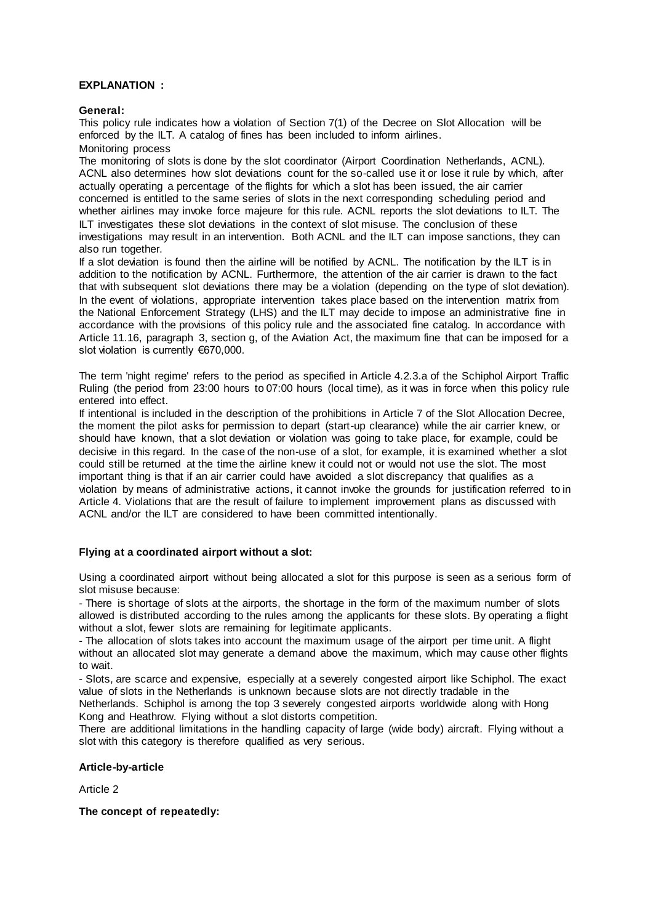### **EXPLANATION :**

**General:**

This policy rule indicates how a violation of Section 7(1) of the Decree on Slot Allocation will be enforced by the ILT. A catalog of fines has been included to inform airlines. Monitoring process

The monitoring of slots is done by the slot coordinator (Airport Coordination Netherlands, ACNL). ACNL also determines how slot deviations count for the so-called use it or lose it rule by which, after actually operating a percentage of the flights for which a slot has been issued, the air carrier concerned is entitled to the same series of slots in the next corresponding scheduling period and whether airlines may invoke force majeure for this rule. ACNL reports the slot deviations to ILT. The ILT investigates these slot deviations in the context of slot misuse. The conclusion of these investigations may result in an intervention. Both ACNL and the ILT can impose sanctions, they can also run together.

If a slot deviation is found then the airline will be notified by ACNL. The notification by the ILT is in addition to the notification by ACNL. Furthermore, the attention of the air carrier is drawn to the fact that with subsequent slot deviations there may be a violation (depending on the type of slot deviation). In the event of violations, appropriate intervention takes place based on the intervention matrix from the National Enforcement Strategy (LHS) and the ILT may decide to impose an administrative fine in accordance with the provisions of this policy rule and the associated fine catalog. In accordance with Article 11.16, paragraph 3, section g, of the Aviation Act, the maximum fine that can be imposed for a slot violation is currently €670,000.

The term 'night regime' refers to the period as specified in Article 4.2.3.a of the Schiphol Airport Traffic Ruling (the period from 23:00 hours to 07:00 hours (local time), as it was in force when this policy rule entered into effect.

If intentional is included in the description of the prohibitions in Article 7 of the Slot Allocation Decree, the moment the pilot asks for permission to depart (start-up clearance) while the air carrier knew, or should have known, that a slot deviation or violation was going to take place, for example, could be decisive in this regard. In the case of the non-use of a slot, for example, it is examined whether a slot could still be returned at the time the airline knew it could not or would not use the slot. The most important thing is that if an air carrier could have avoided a slot discrepancy that qualifies as a violation by means of administrative actions, it cannot invoke the grounds for justification referred to in Article 4. Violations that are the result of failure to implement improvement plans as discussed with ACNL and/or the ILT are considered to have been committed intentionally.

### **Flying at a coordinated airport without a slot:**

Using a coordinated airport without being allocated a slot for this purpose is seen as a serious form of slot misuse because:

- There is shortage of slots at the airports, the shortage in the form of the maximum number of slots allowed is distributed according to the rules among the applicants for these slots. By operating a flight without a slot, fewer slots are remaining for legitimate applicants.

- The allocation of slots takes into account the maximum usage of the airport per time unit. A flight without an allocated slot may generate a demand above the maximum, which may cause other flights to wait.

- Slots, are scarce and expensive, especially at a severely congested airport like Schiphol. The exact value of slots in the Netherlands is unknown because slots are not directly tradable in the

Netherlands. Schiphol is among the top 3 severely congested airports worldwide along with Hong Kong and Heathrow. Flying without a slot distorts competition.

There are additional limitations in the handling capacity of large (wide body) aircraft. Flying without a slot with this category is therefore qualified as very serious.

### **Article-by-article**

Article 2

**The concept of repeatedly:**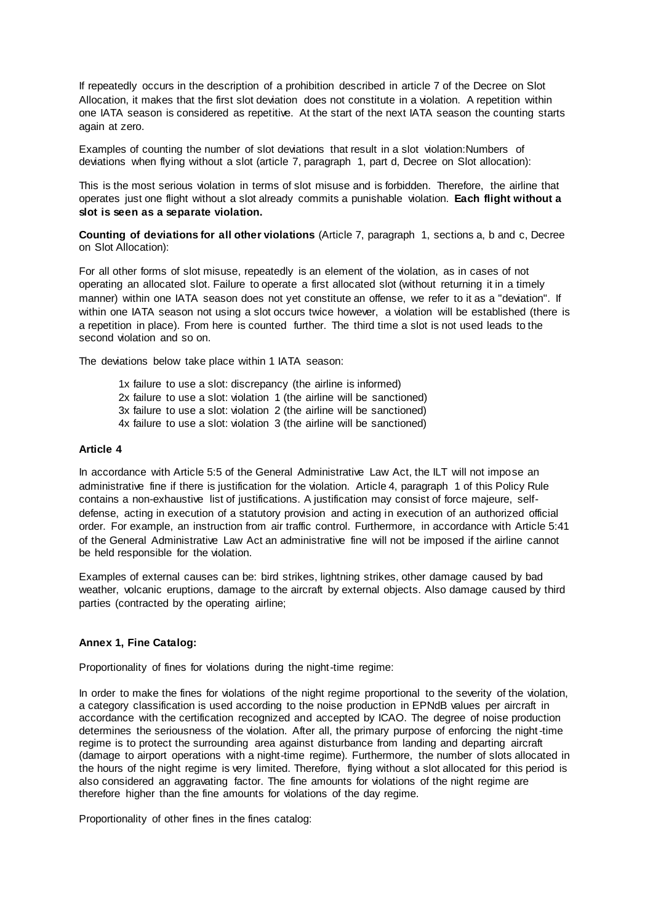If repeatedly occurs in the description of a prohibition described in article 7 of the Decree on Slot Allocation, it makes that the first slot deviation does not constitute in a violation. A repetition within one IATA season is considered as repetitive. At the start of the next IATA season the counting starts again at zero.

Examples of counting the number of slot deviations that result in a slot violation:Numbers of deviations when flying without a slot (article 7, paragraph 1, part d, Decree on Slot allocation):

This is the most serious violation in terms of slot misuse and is forbidden. Therefore, the airline that operates just one flight without a slot already commits a punishable violation. **Each flight without a slot is seen as a separate violation.**

**Counting of deviations for all other violations** (Article 7, paragraph 1, sections a, b and c, Decree on Slot Allocation):

For all other forms of slot misuse, repeatedly is an element of the violation, as in cases of not operating an allocated slot. Failure to operate a first allocated slot (without returning it in a timely manner) within one IATA season does not yet constitute an offense, we refer to it as a "deviation". If within one IATA season not using a slot occurs twice however, a violation will be established (there is a repetition in place). From here is counted further. The third time a slot is not used leads to the second violation and so on.

The deviations below take place within 1 IATA season:

1x failure to use a slot: discrepancy (the airline is informed) 2x failure to use a slot: violation 1 (the airline will be sanctioned) 3x failure to use a slot: violation 2 (the airline will be sanctioned) 4x failure to use a slot: violation 3 (the airline will be sanctioned)

#### **Article 4**

In accordance with Article 5:5 of the General Administrative Law Act, the ILT will not impose an administrative fine if there is justification for the violation. Article 4, paragraph 1 of this Policy Rule contains a non-exhaustive list of justifications. A justification may consist of force majeure, selfdefense, acting in execution of a statutory provision and acting in execution of an authorized official order. For example, an instruction from air traffic control. Furthermore, in accordance with Article 5:41 of the General Administrative Law Act an administrative fine will not be imposed if the airline cannot be held responsible for the violation.

Examples of external causes can be: bird strikes, lightning strikes, other damage caused by bad weather, volcanic eruptions, damage to the aircraft by external objects. Also damage caused by third parties (contracted by the operating airline;

### **Annex 1, Fine Catalog:**

Proportionality of fines for violations during the night-time regime:

In order to make the fines for violations of the night regime proportional to the severity of the violation, a category classification is used according to the noise production in EPNdB values per aircraft in accordance with the certification recognized and accepted by ICAO. The degree of noise production determines the seriousness of the violation. After all, the primary purpose of enforcing the night-time regime is to protect the surrounding area against disturbance from landing and departing aircraft (damage to airport operations with a night-time regime). Furthermore, the number of slots allocated in the hours of the night regime is very limited. Therefore, flying without a slot allocated for this period is also considered an aggravating factor. The fine amounts for violations of the night regime are therefore higher than the fine amounts for violations of the day regime.

Proportionality of other fines in the fines catalog: